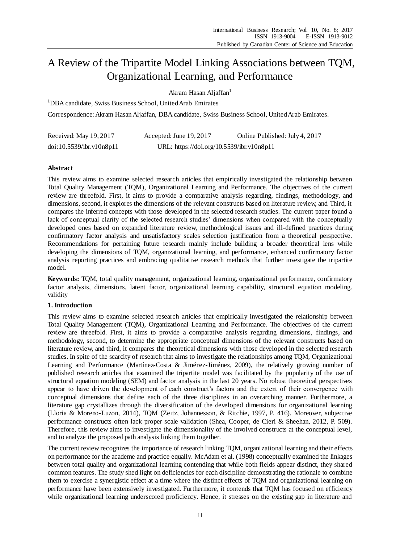# A Review of the Tripartite Model Linking Associations between TQM, Organizational Learning, and Performance

Akram Hasan Aljaffan<sup>1</sup>

<sup>1</sup>DBA candidate, Swiss Business School, United Arab Emirates

Correspondence: Akram Hasan Aljaffan, DBA candidate, Swiss Business School, United Arab Emirates.

| Received: May 19, 2017   | Accepted: June 19, 2017                   | Online Published: July 4, 2017 |
|--------------------------|-------------------------------------------|--------------------------------|
| doi:10.5539/ibr.v10n8p11 | URL: https://doi.org/10.5539/ibr.v10n8p11 |                                |

# **Abstract**

This review aims to examine selected research articles that empirically investigated the relationship between Total Quality Management (TQM), Organizational Learning and Performance. The objectives of the current review are threefold. First, it aims to provide a comparative analysis regarding, findings, methodology, and dimensions, second, it explores the dimensions of the relevant constructs based on literature review, and Third, it compares the inferred concepts with those developed in the selected research studies. The current paper found a lack of conceptual clarity of the selected research studies' dimensions when compared with the conceptually developed ones based on expanded literature review, methodological issues and ill-defined practices during confirmatory factor analysis and unsatisfactory scales selection justification from a theoretical perspective. Recommendations for pertaining future research mainly include building a broader theoretical lens while developing the dimensions of TQM, organizational learning, and performance, enhanced confirmatory factor analysis reporting practices and embracing qualitative research methods that further investigate the tripartite model.

**Keywords:** TQM, total quality management, organizational learning, organizational performance, confirmatory factor analysis, dimensions, latent factor, organizational learning capability, structural equation modeling. validity

# **1. Introduction**

This review aims to examine selected research articles that empirically investigated the relationship between Total Quality Management (TQM), Organizational Learning and Performance. The objectives of the current review are threefold. First, it aims to provide a comparative analysis regarding dimensions, findings, and methodology, second, to determine the appropriate conceptual dimensions of the relevant constructs based on literature review, and third, it compares the theoretical dimensions with those developed in the selected research studies. In spite of the scarcity of research that aims to investigate the relationships among TQM, Organizational Learning and Performance (Mart nez-Costa & Jiménez-Jiménez, 2009), the relatively growing number of published research articles that examined the tripartite model was facilitated by the popularity of the use of structural equation modeling (SEM) and factor analysis in the last 20 years. No robust theoretical perspectives appear to have driven the development of each construct's factors and the extent of their convergence with conceptual dimensions that define each of the three disciplines in an overarching manner. Furthermore, a literature gap crystallizes through the diversification of the developed dimensions for organizational learning (Lloria & Moreno-Luzon, 2014), TQM (Zeitz, Johannesson, & Ritchie, 1997, P. 416). Moreover, subjective performance constructs often lack proper scale validation (Shea, Cooper, de Cieri & Sheehan, 2012, P. 509). Therefore, this review aims to investigate the dimensionality of the involved constructs at the conceptual level, and to analyze the proposed path analysis linking them together.

The current review recognizes the importance of research linking TQM, organizational learning and their effects on performance for the academe and practice equally. McAdam et al. (1998) conceptually examined the linkages between total quality and organizational learning contending that while both fields appear distinct, they shared common features. The study shed light on deficiencies for each discipline demonstrating the rationale to combine them to exercise a synergistic effect at a time where the distinct effects of TQM and organizational learning on performance have been extensively investigated. Furthermore, it contends that TQM has focused on efficiency while organizational learning underscored proficiency. Hence, it stresses on the existing gap in literature and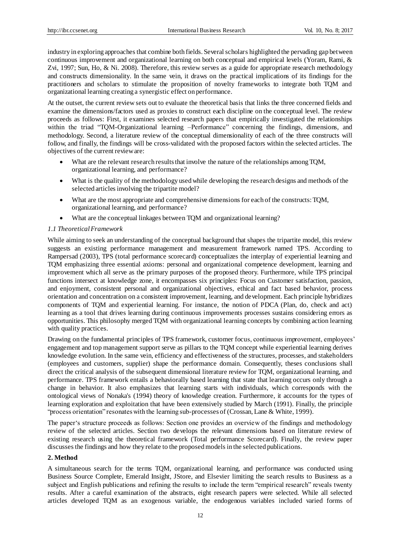industry in exploring approaches that combine both fields. Several scholars highlighted the pervading gap between continuous improvement and organizational learning on both conceptual and empirical levels (Yoram, Rami, & Zvi, 1997; Sun, Ho, & Ni. 2008). Therefore, this review serves as a guide for appropriate research methodology and constructs dimensionality. In the same vein, it draws on the practical implications of its findings for the practitioners and scholars to stimulate the proposition of novelty frameworks to integrate both TQM and organizational learning creating a synergistic effect on performance.

At the outset, the current review sets out to evaluate the theoretical basis that links the three concerned fields and examine the dimensions/factors used as proxies to construct each discipline on the conceptual level. The review proceeds as follows: First, it examines selected research papers that empirically investigated the relationships within the triad "TQM-Organizational learning –Performance" concerning the findings, dimensions, and methodology. Second, a literature review of the conceptual dimensionality of each of the three constructs will follow, and finally, the findings will be cross-validated with the proposed factors within the selected articles. The objectives of the current review are:

- What are the relevant research results that involve the nature of the relationships among TQM, organizational learning, and performance?
- What is the quality of the methodology used while developing the research designs and methods of the selected articles involving the tripartite model?
- What are the most appropriate and comprehensive dimensions for each of the constructs: TQM, organizational learning, and performance?
- What are the conceptual linkages between TQM and organizational learning?

# *1.1 Theoretical Framework*

While aiming to seek an understanding of the conceptual background that shapes the tripartite model, this review suggests an existing performance management and measurement framework named TPS. According to Rampersad (2003), TPS (total performance scorecard) conceptualizes the interplay of experiential learning and TQM emphasizing three essential axioms: personal and organizational competence development, learning and improvement which all serve as the primary purposes of the proposed theory. Furthermore, while TPS principal functions intersect at knowledge zone, it encompasses six principles: Focus on Customer satisfaction, passion, and enjoyment, consistent personal and organizational objectives, ethical and fact based behavior, process orientation and concentration on a consistent improvement, learning, and development. Each principle hybridizes components of TQM and experiential learning. For instance, the notion of PDCA (Plan, do, check and act) learning as a tool that drives learning during continuous improvements processes sustains considering errors as opportunities. This philosophy merged TQM with organizational learning concepts by combining action learning with quality practices.

Drawing on the fundamental principles of TPS framework, customer focus, continuous improvement, employees' engagement and top management support serve as pillars to the TQM concept while experiential learning derives knowledge evolution. In the same vein, efficiency and effectiveness of the structures, processes, and stakeholders (employees and customers, supplier) shape the performance domain. Consequently, theses conclusions shall direct the critical analysis of the subsequent dimensional literature review for TQM, organizational learning, and performance. TPS framework entails a behaviorally based learning that state that learning occurs only through a change in behavior. It also emphasizes that learning starts with individuals, which corresponds with the ontological views of Nonaka's (1994) theory of knowledge creation. Furthermore, it accounts for the types of learning exploration and exploitation that have been extensively studied by March (1991). Finally, the principle "process orientation" resonates with the learning sub-processes of (Crossan, Lane & White, 1999).

The paper's structure proceeds as follows: Section one provides an overview of the findings and methodology review of the selected articles. Section two develops the relevant dimensions based on literature review of existing research using the theoretical framework (Total performance Scorecard). Finally, the review paper discusses the findings and how they relate to the proposed models in the selected publications.

# **2. Method**

A simultaneous search for the terms TQM, organizational learning, and performance was conducted using Business Source Complete, Emerald Insight, JStore, and Elsevier limiting the search results to Business as a subject and English publications and refining the results to include the term "empirical research" reveals twenty results. After a careful examination of the abstracts, eight research papers were selected. While all selected articles developed TQM as an exogenous variable, the endogenous variables included varied forms of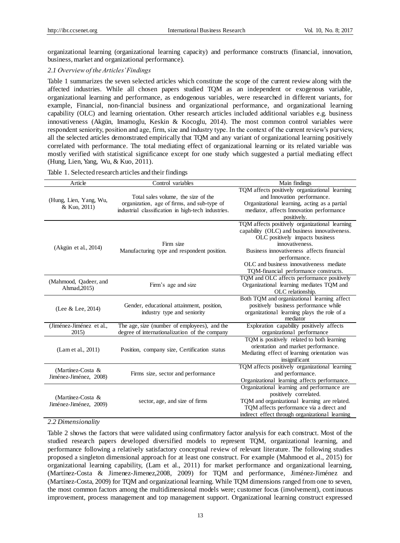organizational learning (organizational learning capacity) and performance constructs (financial, innovation, business, market and organizational performance).

# *2.1 Overview of the Articles' Findings*

Table 1 summarizes the seven selected articles which constitute the scope of the current review along with the affected industries. While all chosen papers studied TQM as an independent or exogenous variable, organizational learning and performance, as endogenous variables, were researched in different variants, for example, Financial, non-financial business and organizational performance, and organizational learning capability (OLC) and learning orientation. Other research articles included additional variables e.g. business innovativeness (Akgün, Imamoglu, Keskin & Kocoglu, 2014). The most common control variables were respondent seniority, position and age, firm, size and industry type. In the context of the current review's purview, all the selected articles demonstrated empirically that TQM and any variant of organizational learning positively correlated with performance. The total mediating effect of organizational learning or its related variable was mostly verified with statistical significance except for one study which suggested a partial mediating effect (Hung, Lien, Yang, Wu, & Kuo, 2011).

|  |  | Table 1. Selected research articles and their findings |  |  |  |  |
|--|--|--------------------------------------------------------|--|--|--|--|
|--|--|--------------------------------------------------------|--|--|--|--|

| Article                                          | Control variables                                  | Main findings                                                                               |
|--------------------------------------------------|----------------------------------------------------|---------------------------------------------------------------------------------------------|
|                                                  |                                                    | TQM affects positively organizational learning                                              |
| (Hung, Lien, Yang, Wu,                           | Total sales volume, the size of the                | and Innovation performance.                                                                 |
|                                                  | organization, age of firms, and sub-type of        | Organizational learning, acting as a partial                                                |
| & Kuo, 2011)                                     | industrial classification in high-tech industries. | mediator, affects Innovation performance                                                    |
|                                                  |                                                    | positively.                                                                                 |
|                                                  |                                                    | TQM affects positively organizational learning                                              |
|                                                  |                                                    | capability (OLC) and business innovativeness.                                               |
|                                                  |                                                    | OLC positively impacts business                                                             |
| (Akgün et al., 2014)                             | Firm size                                          | innovativeness.                                                                             |
|                                                  | Manufacturing type and respondent position.        | Business innovativeness affects financial                                                   |
|                                                  |                                                    | performance.                                                                                |
|                                                  |                                                    | OLC and business innovativeness mediate                                                     |
|                                                  |                                                    | TQM-financial performance constructs.                                                       |
| (Mahmood, Qadeer, and                            | Firm's age and size                                | TQM and OLC affects performance positively                                                  |
| Ahmad, 2015)                                     |                                                    | Organizational learning mediates TQM and                                                    |
|                                                  |                                                    | OLC relationship.                                                                           |
|                                                  |                                                    | Both TQM and organizational learning affect                                                 |
| (Lee & Lee, 2014)                                | Gender, educational attainment, position,          | positively business performance while                                                       |
|                                                  | industry type and seniority                        | organizational learning plays the role of a                                                 |
|                                                  |                                                    | mediator                                                                                    |
| (Jim énez-Jim énez et al.,                       | The age, size (number of employees), and the       | Exploration capability positively affects                                                   |
| 2015)                                            | degree of internationalization of the company      | organizational performance                                                                  |
|                                                  |                                                    | TQM is positively related to both learning                                                  |
| (Lam et al., 2011)                               | Position, company size, Certification status       | orientation and market performance.                                                         |
|                                                  |                                                    | Mediating effect of learning orientation was                                                |
|                                                  |                                                    | insignificant<br>TQM affects positively organizational learning                             |
| (Mart nez-Costa $\&$                             |                                                    |                                                                                             |
| Jim énez-Jim énez, 2008)                         | Firms size, sector and performance                 | and performance.                                                                            |
|                                                  |                                                    | Organizational learning affects performance.<br>Organizational learning and performance are |
| (Mart nez-Costa $\&$<br>Jim énez-Jim énez, 2009) | sector, age, and size of firms                     |                                                                                             |
|                                                  |                                                    | positively correlated.                                                                      |
|                                                  |                                                    | TQM and organizational learning are related.<br>TQM affects performance via a direct and    |
|                                                  |                                                    |                                                                                             |
|                                                  |                                                    | indirect effect through organizational learning                                             |

#### *2.2 Dimensionality*

Table 2 shows the factors that were validated using confirmatory factor analysis for each construct. Most of the studied research papers developed diversified models to represent TQM, organizational learning, and performance following a relatively satisfactory conceptual review of relevant literature. The following studies proposed a singleton dimensional approach for at least one construct. For example (Mahmood et al., 2015) for organizational learning capability, (Lam et al., 2011) for market performance and organizational learning, (Martínez-Costa & Jimenez-Jimenez,2008, 2009) for TQM and performance, Jiménez-Jiménez and (Mart ínez-Costa, 2009) for TQM and organizational learning. While TQM dimensions ranged from one to seven, the most common factors among the multidimensional models were; customer focus (involvement), continuous improvement, process management and top management support. Organizational learning construct expressed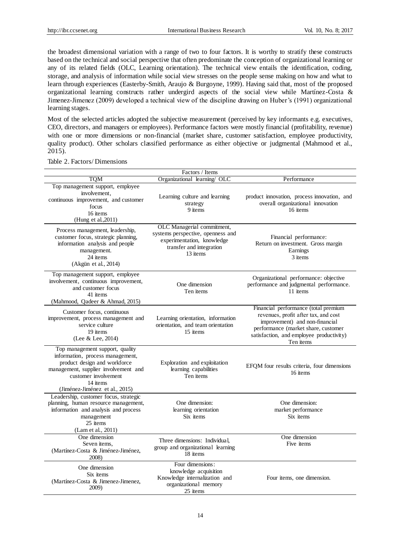the broadest dimensional variation with a range of two to four factors. It is worthy to stratify these constructs based on the technical and social perspective that often predominate the conception of organizational learning or any of its related fields (OLC, Learning orientation). The technical view entails the identification, coding, storage, and analysis of information while social view stresses on the people sense making on how and what to learn through experiences (Easterby-Smith, Araujo & Burgoyne, 1999). Having said that, most of the proposed organizational learning constructs rather undergird aspects of the social view while Mart nez-Costa  $\&$ Jimenez-Jimenez (2009) developed a technical view of the discipline drawing on Huber's (1991) organizational learning stages.

Most of the selected articles adopted the subjective measurement (perceived by key informants e.g. executives, CEO, directors, and managers or employees). Performance factors were mostly financial (profitability, revenue) with one or more dimensions or non-financial (market share, customer satisfaction, employee productivity, quality product). Other scholars classified performance as either objective or judgmental (Mahmood et al., 2015).

|                                                                                                                                                                                                                   | Factors / Items                                                                                                                       |                                                                                                                                                                                                                |
|-------------------------------------------------------------------------------------------------------------------------------------------------------------------------------------------------------------------|---------------------------------------------------------------------------------------------------------------------------------------|----------------------------------------------------------------------------------------------------------------------------------------------------------------------------------------------------------------|
| <b>TQM</b>                                                                                                                                                                                                        | Organizational learning/OLC                                                                                                           | Performance                                                                                                                                                                                                    |
| Top management support, employee<br>involvement,<br>continuous improvement, and customer<br>focus<br>16 items<br>(Hung et al., 2011)                                                                              | Learning culture and learning<br>strategy<br>9 items                                                                                  | product innovation, process innovation, and<br>overall organizational innovation<br>16 items                                                                                                                   |
| Process management, leadership,<br>customer focus, strategic planning,<br>information analysis and people<br>management.<br>24 items<br>(Akgün et al., 2014)                                                      | OLC Managerial commitment,<br>systems perspective, openness and<br>experimentation, knowledge<br>transfer and integration<br>13 items | Financial performance:<br>Return on investment. Gross margin<br>Earnings<br>3 items                                                                                                                            |
| Top management support, employee<br>involvement, continuous improvement,<br>and customer focus<br>41 items<br>(Mahmood, Qadeer & Ahmad, 2015)                                                                     | One dimension<br>Ten items                                                                                                            | Organizational performance: objective<br>performance and judgmental performance.<br>11 items                                                                                                                   |
| Customer focus, continuous<br>improvement, process management and<br>service culture<br>19 items<br>(Lee & Lee, 2014)                                                                                             | Learning orientation, information<br>orientation, and team orientation<br>15 items                                                    | Financial performance (total premium<br>revenues, profit after tax, and cost<br>improvement) and non-financial<br>performance (market share, customer<br>satisfaction, and employee productivity)<br>Ten items |
| Top management support, quality<br>information, process management,<br>product design and workforce<br>management, supplier involvement and<br>customer involvement<br>14 items<br>(Jiménez-Jiménez et al., 2015) | Exploration and exploitation<br>learning capabilities<br>Ten items                                                                    | EFQM four results criteria, four dimensions<br>16 items                                                                                                                                                        |
| Leadership, customer focus, strategic<br>planning, human resource management,<br>information and analysis and process<br>management<br>25 items<br>(Lam et al., 2011)                                             | One dimension:<br>learning orientation<br>Six items                                                                                   | One dimension:<br>market performance<br>Six items                                                                                                                                                              |
| One dimension<br>Seven items,<br>(Mart nez-Costa & Jiménez-Jiménez,<br>2008)                                                                                                                                      | Three dimensions: Individual,<br>group and organizational learning<br>18 items                                                        | One dimension<br>Five items                                                                                                                                                                                    |
| One dimension<br>Six items<br>(Mart nez-Costa & Jimenez-Jimenez,<br>2009)                                                                                                                                         | Four dimensions:<br>knowledge acquisition<br>Knowledge internalization and<br>organizational memory<br>25 items                       | Four items, one dimension.                                                                                                                                                                                     |

Table 2. Factors/ Dimensions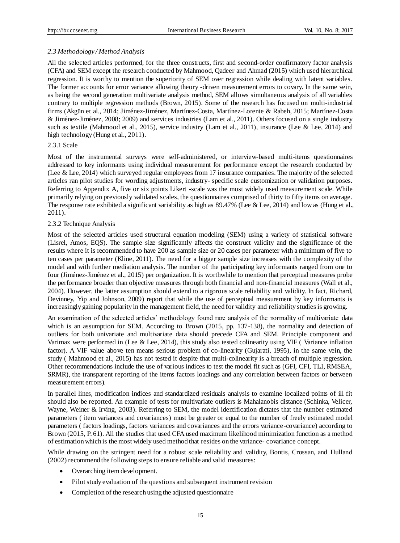#### *2.3 Methodology / Method Analysis*

All the selected articles performed, for the three constructs, first and second-order confirmatory factor analysis (CFA) and SEM except the research conducted by Mahmood, Qadeer and Ahmad (2015) which used hierarchical regression. It is worthy to mention the superiority of SEM over regression while dealing with latent variables. The former accounts for error variance allowing theory -driven measurement errors to covary. In the same vein, as being the second generation multivariate analysis method, SEM allows simultaneous analysis of all variables contrary to multiple regression methods (Brown, 2015). Some of the research has focused on multi-industrial firms (Akgün et al., 2014; Jiménez-Jiménez, Mart ínez-Costa, Martínez-Lorente & Rabeh, 2015; Martínez-Costa & Jiménez-Jiménez, 2008; 2009) and services industries (Lam et al., 2011). Others focused on a single industry such as textile (Mahmood et al., 2015), service industry (Lam et al., 2011), insurance (Lee & Lee, 2014) and high technology (Hung et al., 2011).

## 2.3.1 Scale

Most of the instrumental surveys were self-administered, or interview-based multi-items questionnaires addressed to key informants using individual measurement for performance except the research conducted by (Lee & Lee, 2014) which surveyed regular employees from 17 insurance companies. The majority of the selected articles ran pilot studies for wording adjustments, industry- specific scale customization or validation purposes. Referring to Appendix A, five or six points Likert -scale was the most widely used measurement scale. While primarily relying on previously validated scales, the questionnaires comprised of thirty to fifty items on average. The response rate exhibited a significant variability as high as 89.47% (Lee & Lee, 2014) and low as (Hung et al., 2011).

#### 2.3.2 Technique Analysis

Most of the selected articles used structural equation modeling (SEM) using a variety of statistical software (Lisrel, Amos, EQS). The sample size significantly affects the construct validity and the significance of the results where it is recommended to have 200 as sample size or 20 cases per parameter with a minimum of five to ten cases per parameter (Kline, 2011). The need for a bigger sample size increases with the complexity of the model and with further mediation analysis. The number of the participating key informants ranged from one to four (Jiménez-Jiménez et al., 2015) per organization. It is worthwhile to mention that perceptual measures probe the performance broader than objective measures through both financial and non-financial measures (Wall et al., 2004). However, the latter assumption should extend to a rigorous scale reliability and validity. In fact, Richard, Devinney, Yip and Johnson, 2009) report that while the use of perceptual measurement by key informants is increasingly gaining popularity in the management field, the need for validity and reliability studies is growing.

An examination of the selected articles' methodology found rare analysis of the normality of multivariate data which is an assumption for SEM. According to Brown (2015, pp. 137-138), the normality and detection of outliers for both univariate and multivariate data should precede CFA and SEM. Principle component and Varimax were performed in (Lee & Lee, 2014), this study also tested colinearity using VIF ( Variance inflation factor). A VIF value above ten means serious problem of co-linearity (Gujarati, 1995), in the same vein, the study ( Mahmood et al., 2015) has not tested it despite that multi-colinearity is a breach of multiple regression. Other recommendations include the use of various indices to test the model fit such as (GFI, CFI, TLI, RMSEA, SRMR), the transparent reporting of the items factors loadings and any correlation between factors or between measurement errors).

In parallel lines, modification indices and standardized residuals analysis to examine localized points of ill fit should also be reported. An example of tests for multivariate outliers is Mahalanobis distance (Schinka, Velicer, Wayne, Weiner & Irving, 2003). Referring to SEM, the model identification dictates that the number estimated parameters ( item variances and covariances) must be greater or equal to the number of freely estimated model parameters ( factors loadings, factors variances and covariances and the errors variance-covariance) according to Brown (2015, P. 61). All the studies that used CFA used maximum likelihood minimization function as a method of estimation which is the most widely used method that resides on the variance- covariance concept.

While drawing on the stringent need for a robust scale reliability and validity, Bontis, Crossan, and Hulland (2002) recommend the following steps to ensure reliable and valid measures:

- Overarching item development.
- Pilot study evaluation of the questions and subsequent instrument revision
- Completion of the research using the adjusted questionnaire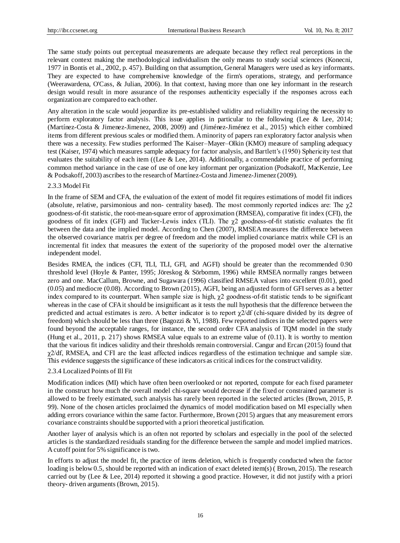The same study points out perceptual measurements are adequate because they reflect real perceptions in the relevant context making the methodological individualism the only means to study social sciences (Konecni, 1977 in Bontis et al., 2002, p. 457). Building on that assumption, General Managers were used as key informants. They are expected to have comprehensive knowledge of the firm's operations, strategy, and performance (Weerawardena, O'Cass, & Julian, 2006). In that context, having more than one key informant in the research design would result in more assurance of the responses authenticity especially if the responses across each organization are compared to each other.

Any alteration in the scale would jeopardize its pre-established validity and reliability requiring the necessity to perform exploratory factor analysis. This issue applies in particular to the following (Lee & Lee, 2014; (Martínez-Costa & Jimenez-Jimenez, 2008, 2009) and (Jiménez-Jiménez et al., 2015) which either combined items from different previous scales or modified them. A minority of papers ran exploratory factor analysis when there was a necessity. Few studies performed The Kaiser–Mayer–Olkin (KMO) measure of sampling adequacy test (Kaiser, 1974) which measures sample adequacy for factor analysis, and Bartlett's (1950) Sphericity test that evaluates the suitability of each item ((Lee & Lee, 2014). Additionally, a commendable practice of performing common method variance in the case of use of one key informant per organization (Podsakoff, MacKenzie, Lee & Podsakoff, 2003) ascribes to the research of Martínez-Costa and Jimenez-Jimenez (2009).

## 2.3.3 Model Fit

In the frame of SEM and CFA, the evaluation of the extent of model fit requires estimations of model fit indices (absolute, relative, parsimonious and non- centrality based). The most commonly reported indices are: The  $\chi^2$ goodness-of-fit statistic, the root-mean-square error of approximation (RMSEA), comparative fit index (CFI), the goodness of fit index (GFI) and Tucker-Lewis index (TLI). The  $\chi$ 2 goodness-of-fit statistic evaluates the fit between the data and the implied model. According to Chen (2007), RMSEA measures the difference between the observed covariance matrix per degree of freedom and the model implied covariance matrix while CFI is an incremental fit index that measures the extent of the superiority of the proposed model over the alternative independent model.

Besides RMEA, the indices (CFI, TLI, TLI, GFI, and AGFI) should be greater than the recommended 0.90 threshold level (Hoyle & Panter, 1995; Jöreskog & Sörbomm, 1996) while RMSEA normally ranges between zero and one. MacCallum, Browne, and Sugawara (1996) classified RMSEA values into excellent (0.01), good (0.05) and mediocre (0.08). According to Brown (2015), AGFI, being an adjusted form of GFI serves as a better index compared to its counterpart. When sample size is high,  $\gamma$ 2 goodness-of-fit statistic tends to be significant whereas in the case of CFA it should be insignificant as it tests the null hypothesis that the difference between the predicted and actual estimates is zero. A better indicator is to report  $\chi$ 2/df (chi-square divided by its degree of freedom) which should be less than three (Bagozzi & Yi, 1988). Few reported indices in the selected papers were found beyond the acceptable ranges, for instance, the second order CFA analysis of TQM model in the study (Hung et al., 2011, p. 217) shows RMSEA value equals to an extreme value of (0.11). It is worthy to mention that the various fit indices validity and their thresholds remain controversial. Cangur and Ercan (2015) found that  $\chi$ 2/df, RMSEA, and CFI are the least affected indices regardless of the estimation technique and sample size. This evidence suggests the significance of these indicators as critical indices for the construct validity.

# 2.3.4 Localized Points of Ill Fit

Modification indices (MI) which have often been overlooked or not reported, compute for each fixed parameter in the construct how much the overall model chi-square would decrease if the fixed or constrained parameter is allowed to be freely estimated, such analysis has rarely been reported in the selected articles (Brown, 2015, P. 99). None of the chosen articles proclaimed the dynamics of model modification based on MI especially when adding errors covariance within the same factor. Furthermore, Brown (2015) argues that any measurement errors covariance constraints should be supported with a priori theoretical justification.

Another layer of analysis which is an often not reported by scholars and especially in the pool of the selected articles is the standardized residuals standing for the difference between the sample and model implied matrices. A cutoff point for 5% significance is two.

In efforts to adjust the model fit, the practice of items deletion, which is frequently conducted when the factor loading is below 0.5, should be reported with an indication of exact deleted item(s) (Brown, 2015). The research carried out by (Lee & Lee, 2014) reported it showing a good practice. However, it did not justify with a priori theory- driven arguments (Brown, 2015).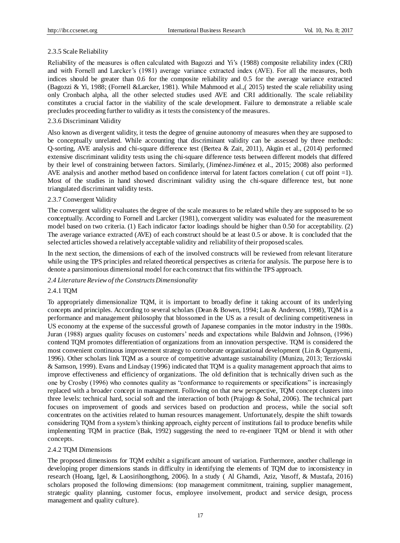# 2.3.5 Scale Reliability

Reliability of the measures is often calculated with Bagozzi and Yi's (1988) composite reliability index (CRI) and with Fornell and Larcker's (1981) average variance extracted index (AVE). For all the measures, both indices should be greater than 0.6 for the composite reliability and 0.5 for the average variance extracted (Bagozzi & Yi, 1988; (Fornell &Larcker, 1981). While Mahmood et al.,( 2015) tested the scale reliability using only Cronbach alpha, all the other selected studies used AVE and CRI additionally. The scale reliability constitutes a crucial factor in the viability of the scale development. Failure to demonstrate a reliable scale precludes proceeding further to validity as it tests the consistency of the measures.

# 2.3.6 Discriminant Validity

Also known as divergent validity, it tests the degree of genuine autonomy of measures when they are supposed to be conceptually unrelated. While accounting that discriminant validity can be assessed by three methods: Q-sorting, AVE analysis and chi-square difference test (Bertea & Zait, 2011), Akgün et al., (2014) performed extensive discriminant validity tests using the chi-square difference tests between different models that differed by their level of constraining between factors. Similarly, (Jiménez-Jiménez et al., 2015; 2008) also performed AVE analysis and another method based on confidence interval for latent factors correlation ( cut off point =1). Most of the studies in hand showed discriminant validity using the chi-square difference test, but none triangulated discriminant validity tests.

# 2.3.7 Convergent Validity

The convergent validity evaluates the degree of the scale measures to be related while they are supposed to be so conceptually. According to Fornell and Larcker (1981), convergent validity was evaluated for the measurement model based on two criteria. (1) Each indicator factor loadings should be higher than 0.50 for acceptability. (2) The average variance extracted (AVE) of each construct should be at least 0.5 or above. It is concluded that the selected articles showed a relatively acceptable validity and reliability of their proposed scales.

In the next section, the dimensions of each of the involved constructs will be reviewed from relevant literature while using the TPS principles and related theoretical perspectives as criteria for analysis. The purpose here is to denote a parsimonious dimensional model for each construct that fits within the TPS approach.

# *2.4 Literature Review of the Constructs Dimensionality*

# 2.4.1 TQM

To appropriately dimensionalize TQM, it is important to broadly define it taking account of its underlying concepts and principles. According to several scholars (Dean & Bowen, 1994; Lau & Anderson, 1998), TQM is a performance and management philosophy that blossomed in the US as a result of declining competitiveness in US economy at the expense of the successful growth of Japanese companies in the motor industry in the 1980s. Juran (1988) argues quality focuses on customers' needs and expectations while Baldwin and Johnson, (1996) contend TQM promotes differentiation of organizations from an innovation perspective. TQM is considered the most convenient continuous improvement strategy to corroborate organizational development (Lin & Ogunyemi, 1996). Other scholars link TQM as a source of competitive advantage sustainability (Munizu, 2013; Terziovski & Samson, 1999). Evans and Lindsay (1996) indicated that TQM is a quality management approach that aims to improve effectiveness and efficiency of organizations. The old definition that is technically driven such as the one by Crosby (1996) who connotes quality as "conformance to requirements or specifications" is increasingly replaced with a broader concept in management. Following on that new perspective, TQM concept clusters into three levels: technical hard, social soft and the interaction of both (Prajogo & Sohal, 2006). The technical part focuses on improvement of goods and services based on production and process, while the social soft concentrates on the activities related to human resources management. Unfortunately, despite the shift towards considering TQM from a system's thinking approach, eighty percent of institutions fail to produce benefits while implementing TQM in practice (Bak, 1992) suggesting the need to re-engineer TQM or blend it with other concepts.

# 2.4.2 TQM Dimensions

The proposed dimensions for TQM exhibit a significant amount of variation. Furthermore, another challenge in developing proper dimensions stands in difficulty in identifying the elements of TQM due to inconsistency in research (Hoang, Igel, & Laosirihongthong, 2006). In a study ( Al Ghamdi, Aziz, Yusoff, & Mustafa, 2016) scholars proposed the following dimensions: (top management commitment, training, supplier management, strategic quality planning, customer focus, employee involvement, product and service design, process management and quality culture).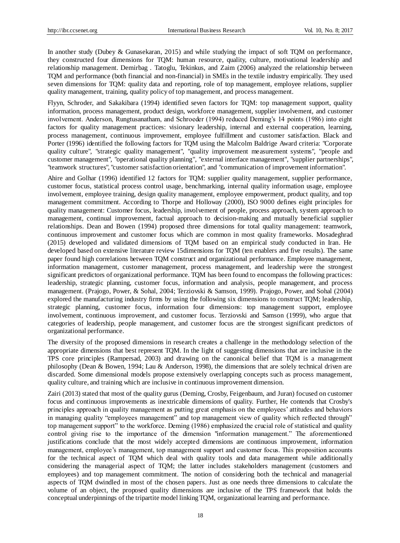In another study (Dubey & Gunasekaran, 2015) and while studying the impact of soft TQM on performance, they constructed four dimensions for TQM: human resource, quality, culture, motivational leadership and relationship management. Demirbag . Tatoglu, Tekinkus, and Zaim (2006) analyzed the relationship between TQM and performance (both financial and non-financial) in SMEs in the textile industry empirically. They used seven dimensions for TQM: quality data and reporting, role of top management, employee relations, supplier quality management, training, quality policy of top management, and process management.

Flyyn, Schroder, and Sakakibara (1994) identified seven factors for TQM: top management support, quality information, process management, product design, workforce management, supplier involvement, and customer involvement. Anderson, Rungtusanatham, and Schroeder (1994) reduced Deming's 14 points (1986) into eight factors for quality management practices: visionary leadership, internal and external cooperation, learning, process management, continuous improvement, employee fulfillment and customer satisfaction. Black and Porter (1996) identified the following factors for TQM using the Malcolm Baldrige Award criteria: "Corporate quality culture", "strategic quality management", "quality improvement measurement systems", "people and customer management", "operational quality planning", "external interface management", "supplier partnerships", "teamwork structures", "customer satisfaction orientation", and "communication of improvement information".

Ahire and Golhar (1996) identified 12 factors for TQM: supplier quality management, supplier performance, customer focus, statistical process control usage, benchmarking, internal quality information usage, employee involvement, employee training, design quality management, employee empowerment, product quality, and top management commitment. According to Thorpe and Holloway (2000), ISO 9000 defines eight principles for quality management: Customer focus, leadership, involvement of people, process approach, system approach to management, continual improvement, factual approach to decision-making and mutually beneficial supplier relationships. Dean and Bowen (1994) proposed three dimensions for total quality management: teamwork, continuous improvement and customer focus which are common in most quality frameworks. Mosadeghrad (2015) developed and validated dimensions of TQM based on an empirical study conducted in Iran. He developed based on extensive literature review 15dimensions for TQM (ten enablers and five results). The same paper found high correlations between TQM construct and organizational performance. Employee management, information management, customer management, process management, and leadership were the strongest significant predictors of organizational performance. TQM has been found to encompass the following practices: leadership, strategic planning, customer focus, information and analysis, people management, and process management. (Prajogo, Power, & Sohal, 2004; Terziovski & Samson, 1999). Prajogo, Power, and Sohal (2004) explored the manufacturing industry firms by using the following six dimensions to construct TQM; leadership, strategic planning, customer focus, information four dimensions: top management support, employee involvement, continuous improvement, and customer focus. Terziovski and Samson (1999), who argue that categories of leadership, people management, and customer focus are the strongest significant predictors of organizational performance.

The diversity of the proposed dimensions in research creates a challenge in the methodology selection of the appropriate dimensions that best represent TQM. In the light of suggesting dimensions that are inclusive in the TPS core principles (Rampersad, 2003) and drawing on the canonical belief that TQM is a management philosophy (Dean & Bowen, 1994; Lau & Anderson, 1998), the dimensions that are solely technical driven are discarded. Some dimensional models propose extensively overlapping concepts such as process management, quality culture, and training which are inclusive in continuous improvement dimension.

Zairi (2013) stated that most of the quality gurus (Deming, Crosby, Feigenbaum, and Juran) focused on customer focus and continuous improvements as inextricable dimensions of quality. Further, He contends that Crosby's principles approach in quality management as putting great emphasis on the employees' attitudes and behaviors in managing quality "employees management" and top management view of quality which reflected through" top management support" to the workforce. Deming (1986) emphasized the crucial role of statistical and quality control giving rise to the importance of the dimension "information management." The aforementioned justifications conclude that the most widely accepted dimensions are continuous improvement, information management, employee's management, top management support and customer focus. This proposition accounts for the technical aspect of TQM which deal with quality tools and data management while additionally considering the managerial aspect of TQM; the latter includes stakeholders management (customers and employees) and top management commitment. The notion of considering both the technical and managerial aspects of TQM dwindled in most of the chosen papers. Just as one needs three dimensions to calculate the volume of an object, the proposed quality dimensions are inclusive of the TPS framework that holds the conceptual underpinnings of the tripartite model linking TQM, organizational learning and performance.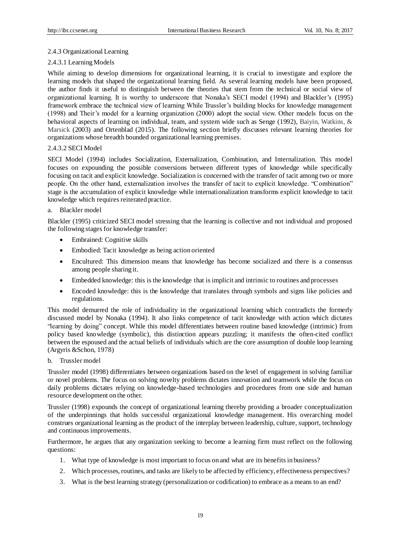# 2.4.3 Organizational Learning

# 2.4.3.1 Learning Models

While aiming to develop dimensions for organizational learning, it is crucial to investigate and explore the learning models that shaped the organizational learning field. As several learning models have been proposed, the author finds it useful to distinguish between the theories that stem from the technical or social view of organizational learning. It is worthy to underscore that Nonaka's SECI model (1994) and Blackler's (1995) framework embrace the technical view of learning While Trussler's building blocks for knowledge management (1998) and Their's model for a learning organization (2000) adopt the social view. Other models focus on the behavioral aspects of learning on individual, team, and system wide such as Senge (1992), Baiyin, Watkins, & Marsick (2003) and Ortenblad (2015). The following section briefly discusses relevant learning theories for organizations whose breadth bounded organizational learning premises.

# 2.4.3.2 SECI Model

SECI Model (1994) includes Socialization, Externalization, Combination, and Internalization. This model focuses on expounding the possible conversions between different types of knowledge while specifically focusing on tacit and explicit knowledge. Socialization is concerned with the transfer of tacit among two or more people. On the other hand, externalization involves the transfer of tacit to explicit knowledge. "Combination" stage is the accumulation of explicit knowledge while internationalization transforms explicit knowledge to tacit knowledge which requires reiterated practice.

# a. Blackler model

Blackler (1995) criticized SECI model stressing that the learning is collective and not individual and proposed the following stages for knowledge transfer:

- Embrained: Cognitive skills
- Embodied: Tacit knowledge as being action oriented
- Encultured: This dimension means that knowledge has become socialized and there is a consensus among people sharing it.
- Embedded knowledge: this is the knowledge that is implicit and intrinsic to routines and processes
- Encoded knowledge: this is the knowledge that translates through symbols and signs like policies and regulations.

This model demurred the role of individuality in the organizational learning which contradicts the formerly discussed model by Nonaka (1994). It also links competence of tacit knowledge with action which dictates "learning by doing" concept. While this model differentiates between routine based knowledge (intrinsic) from policy based knowledge (symbolic), this distinction appears puzzling; it manifests the often-cited conflict between the espoused and the actual beliefs of individuals which are the core assumption of double loop learning (Argyris &Schon, 1978)

b. Trussler model

Trussler model (1998) differentiates between organizations based on the level of engagement in solving familiar or novel problems. The focus on solving novelty problems dictates innovation and teamwork while the focus on daily problems dictates relying on knowledge-based technologies and procedures from one side and human resource development on the other.

Trussler (1998) expounds the concept of organizational learning thereby providing a broader conceptualization of the underpinnings that holds successful organizational knowledge management. His overarching model construes organizational learning as the product of the interplay between leadership, culture, support, technology and continuous improvements.

Furthermore, he argues that any organization seeking to become a learning firm must reflect on the following questions:

- 1. What type of knowledge is most important to focus on and what are its benefits in business?
- 2. Which processes, routines, and tasks are likely to be affected by efficiency, effectiveness perspectives?
- 3. What is the best learning strategy (personalization or codification) to embrace as a means to an end?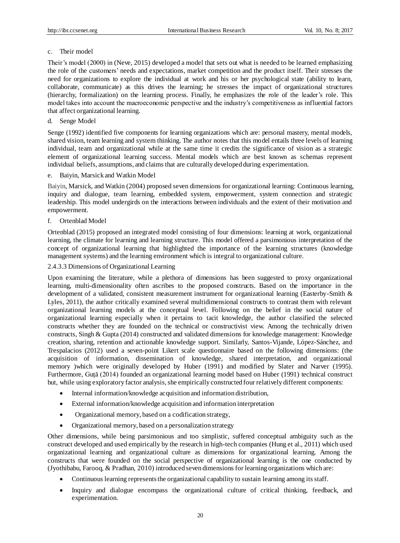# c. Their model

Their's model (2000) in (Neve, 2015) developed a model that sets out what is needed to be learned emphasizing the role of the customers' needs and expectations, market competition and the product itself. Their stresses the need for organizations to explore the individual at work and his or her psychological state (ability to learn, collaborate, communicate) as this drives the learning; he stresses the impact of organizational structures (hierarchy, formalization) on the learning process. Finally, he emphasizes the role of the leader's role. This model takes into account the macroeconomic perspective and the industry's competitiveness as influential factors that affect organizational learning.

# d. Senge Model

Senge (1992) identified five components for learning organizations which are: personal mastery, mental models, shared vision, team learning and system thinking. The author notes that this model entails three levels of learning individual, team and organizational while at the same time it credits the significance of vision as a strategic element of organizational learning success. Mental models which are best known as schemas represent individual beliefs, assumptions, and claims that are culturally developed during experimentation.

# e. Baiyin, Marsick and Watkin Model

Baiyin, Marsick, and Watkin (2004) proposed seven dimensions for organizational learning: Continuous learning, inquiry and dialogue, team learning, embedded system, empowerment, system connection and strategic leadership. This model undergirds on the interactions between individuals and the extent of their motivation and empowerment.

# f. Ortenblad Model

Ortenblad (2015) proposed an integrated model consisting of four dimensions: learning at work, organizational learning, the climate for learning and learning structure. This model offered a parsimonious interpretation of the concept of organizational learning that highlighted the importance of the learning structures (knowledge management systems) and the learning environment which is integral to organizational culture.

# 2.4.3.3 Dimensions of Organizational Learning

Upon examining the literature, while a plethora of dimensions has been suggested to proxy organizational learning, multi-dimensionality often ascribes to the proposed constructs. Based on the importance in the development of a validated, consistent measurement instrument for organizational learning (Easterby-Smith & Lyles, 2011), the author critically examined several multidimensional constructs to contrast them with relevant organizational learning models at the conceptual level. Following on the belief in the social nature of organizational learning especially when it pertains to tacit knowledge, the author classified the selected constructs whether they are founded on the technical or constructivist view. Among the technically driven constructs, Singh & Gupta (2014) constructed and validated dimensions for knowledge management: Knowledge creation, sharing, retention and actionable knowledge support. Similarly, Santos-Vijande, López-Sánchez, and Trespalacios (2012) used a seven-point Likert scale questionnaire based on the following dimensions: (the acquisition of information, dissemination of knowledge, shared interpretation, and organizational memory )which were originally developed by Huber (1991) and modified by Slater and Narver (1995). Furthermore, Guţă (2014) founded an organizational learning model based on Huber (1991) technical construct but, while using exploratory factor analysis, she empirically constructed four relatively different components:

- Internal information/knowledge acquisition and information distribution,
- External information/knowledge acquisition and information interpretation
- Organizational memory, based on a codification strategy,
- Organizational memory, based on a personalization strategy

Other dimensions, while being parsimonious and too simplistic, suffered conceptual ambiguity such as the construct developed and used empirically by the research in high-tech companies (Hung et al., 2011) which used organizational learning and organizational culture as dimensions for organizational learning. Among the constructs that were founded on the social perspective of organizational learning is the one conducted by (Jyothibabu, Farooq, & Pradhan, 2010) introduced seven dimensions for learning organizations which are:

- Continuous learning represents the organizational capability to sustain learning among its staff.
- Inquiry and dialogue encompass the organizational culture of critical thinking, feedback, and experimentation.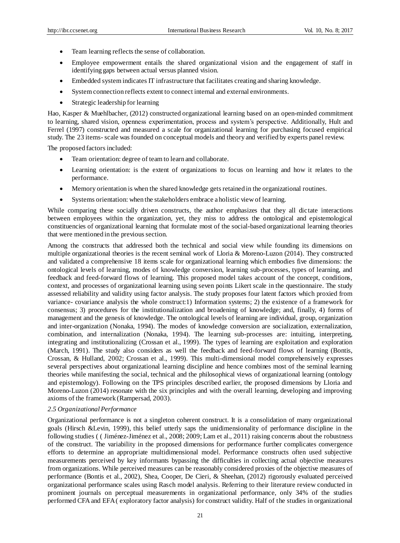- Team learning reflects the sense of collaboration.
- Employee empowerment entails the shared organizational vision and the engagement of staff in identifying gaps between actual versus planned vision.
- Embedded system indicates IT infrastructure that facilitates creating and sharing knowledge.
- System connection reflects extent to connect internal and external environments.
- Strategic leadership for learning

Hao, Kasper & Muehlbacher, (2012) constructed organizational learning based on an open-minded commitment to learning, shared vision, openness experimentation, process and system's perspective. Additionally, Hult and Ferrel (1997) constructed and measured a scale for organizational learning for purchasing focused empirical study. The 23 items- scale was founded on conceptual models and theory and verified by experts panel review.

The proposed factors included:

- Team orientation: degree of team to learn and collaborate.
- Learning orientation: is the extent of organizations to focus on learning and how it relates to the performance.
- Memory orientation is when the shared knowledge gets retained in the organizational routines.
- Systems orientation: when the stakeholders embrace a holistic view of learning.

While comparing these socially driven constructs, the author emphasizes that they all dictate interactions between employees within the organization, yet, they miss to address the ontological and epistemological constituencies of organizational learning that formulate most of the social-based organizational learning theories that were mentioned in the previous section.

Among the constructs that addressed both the technical and social view while founding its dimensions on multiple organizational theories is the recent seminal work of Lloria & Moreno-Luzon (2014). They constructed and validated a comprehensive 18 items scale for organizational learning which embodies five dimensions: the ontological levels of learning, modes of knowledge conversion, learning sub-processes, types of learning, and feedback and feed-forward flows of learning. This proposed model takes account of the concept, conditions, context, and processes of organizational learning using seven points Likert scale in the questionnaire. The study assessed reliability and validity using factor analysis. The study proposes four latent factors which proxied from variance- covariance analysis the whole construct:1) Information systems; 2) the existence of a framework for consensus; 3) procedures for the institutionalization and broadening of knowledge; and, finally, 4) forms of management and the genesis of knowledge. The ontological levels of learning are individual, group, organization and inter-organization (Nonaka, 1994). The modes of knowledge conversion are socialization, externalization, combination, and internalization (Nonaka, 1994). The learning sub-processes are: intuiting, interpreting, integrating and institutionalizing (Crossan et al., 1999). The types of learning are exploitation and exploration (March, 1991). The study also considers as well the feedback and feed-forward flows of learning (Bontis, Crossan, & Hulland, 2002; Crossan et al., 1999). This multi-dimensional model comprehensively expresses several perspectives about organizational learning discipline and hence combines most of the seminal learning theories while manifesting the social, technical and the philosophical views of organizational learning (ontology and epistemology). Following on the TPS principles described earlier, the proposed dimensions by Lloria and Moreno-Luzon (2014) resonate with the six principles and with the overall learning, developing and improving axioms of the framework (Rampersad, 2003).

#### *2.5 Organizational Performance*

Organizational performance is not a singleton coherent construct. It is a consolidation of many organizational goals (Hirsch &Levin, 1999), this belief utterly saps the unidimensionality of performance discipline in the following studies ( ( Jiménez-Jiménez et al., 2008; 2009; Lam et al., 2011) raising concerns about the robustness of the construct. The variability in the proposed dimensions for performance further complicates convergence efforts to determine an appropriate multidimensional model. Performance constructs often used subjective measurements perceived by key informants bypassing the difficulties in collecting actual objective measures from organizations. While perceived measures can be reasonably considered proxies of the objective measures of performance (Bontis et al., 2002), Shea, Cooper, De Cieri, & Sheehan, (2012) rigorously evaluated perceived organizational performance scales using Rasch model analysis. Referring to their literature review conducted in prominent journals on perceptual measurements in organizational performance, only 34% of the studies performed CFA and EFA ( exploratory factor analysis) for construct validity. Half of the studies in organizational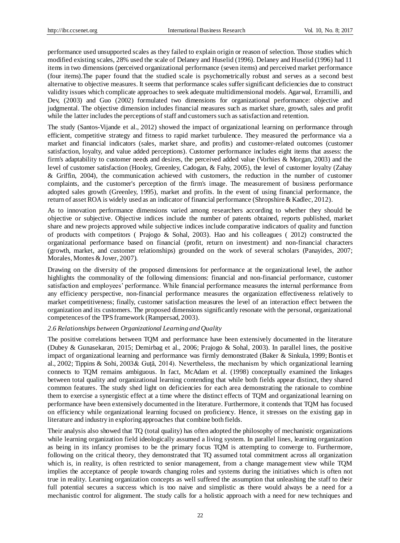performance used unsupported scales as they failed to explain origin or reason of selection. Those studies which modified existing scales, 28% used the scale of Delaney and Huselid (1996). Delaney and Huselid (1996) had 11 items in two dimensions (perceived organizational performance (seven items) and perceived market performance (four items).The paper found that the studied scale is psychometrically robust and serves as a second best alternative to objective measures. It seems that performance scales suffer significant deficiencies due to construct validity issues which complicate approaches to seek adequate multidimensional models. Agarwal, Erramilli, and Dev, (2003) and Guo (2002) formulated two dimensions for organizational performance: objective and judgmental. The objective dimension includes financial measures such as market share, growth, sales and profit while the latter includes the perceptions of staff and customers such as satisfaction and retention.

The study (Santos-Vijande et al., 2012) showed the impact of organizational learning on performance through efficient, competitive strategy and fitness to rapid market turbulence. They measured the performance via a market and financial indicators (sales, market share, and profits) and customer-related outcomes (customer satisfaction, loyalty, and value added perceptions). Customer performance includes eight items that assess: the firm's adaptability to customer needs and desires, the perceived added value (Vorhies & Morgan, 2003) and the level of customer satisfaction (Hooley, Greenley, Cadogan, & Fahy, 2005), the level of customer loyalty (Zahay & Griffin, 2004), the communication achieved with customers, the reduction in the number of customer complaints, and the customer's perception of the firm's image. The measurement of business performance adopted sales growth (Greenley, 1995), market and profits. In the event of using financial performance, the return of asset ROA is widely used as an indicator of financial performance (Shropshire & Kadlec, 2012).

As to innovation performance dimensions varied among researchers according to whether they should be objective or subjective. Objective indices include the number of patents obtained, reports published, market share and new projects approved while subjective indices include comparative indicators of quality and function of products with competitors ( Prajogo & Sohal, 2003). Hao and his colleagues ( 2012) constructed the organizational performance based on financial (profit, return on investment) and non-financial characters (growth, market, and customer relationships) grounded on the work of several scholars (Panayides, 2007; Morales, Montes & Jover, 2007).

Drawing on the diversity of the proposed dimensions for performance at the organizational level, the author highlights the commonality of the following dimensions: financial and non-financial performance, customer satisfaction and employees' performance. While financial performance measures the internal performance from any efficiency perspective, non-financial performance measures the organization effectiveness relatively to market competitiveness; finally, customer satisfaction measures the level of an interaction effect between the organization and its customers. The proposed dimensions significantly resonate with the personal, organizational competences of the TPS framework (Rampersad, 2003).

# *2.6 Relationships between Organizational Learning and Quality*

The positive correlations between TQM and performance have been extensively documented in the literature (Dubey & Gunasekaran, 2015; Demirbag et al., 2006; Prajogo & Sohal, 2003). In parallel lines, the positive impact of organizational learning and performance was firmly demonstrated (Baker & Sinkula, 1999; Bontis et al., 2002; Tippins & Sohi, 2003 & Gută, 2014). Nevertheless, the mechanism by which organizational learning connects to TQM remains ambiguous. In fact, McAdam et al. (1998) conceptually examined the linkages between total quality and organizational learning contending that while both fields appear distinct, they shared common features. The study shed light on deficiencies for each area demonstrating the rationale to combine them to exercise a synergistic effect at a time where the distinct effects of TQM and organizational learning on performance have been extensively documented in the literature. Furthermore, it contends that TQM has focused on efficiency while organizational learning focused on proficiency. Hence, it stresses on the existing gap in literature and industry in exploring approaches that combine both fields.

Their analysis also showed that TQ (total quality) has often adopted the philosophy of mechanistic organizations while learning organization field ideologically assumed a living system. In parallel lines, learning organization as being in its infancy promises to be the primary focus TQM is attempting to converge to. Furthermore, following on the critical theory, they demonstrated that TQ assumed total commitment across all organization which is, in reality, is often restricted to senior management, from a change management view while TQM implies the acceptance of people towards changing roles and systems during the initiatives which is often not true in reality. Learning organization concepts as well suffered the assumption that unleashing the staff to their full potential secures a success which is too naive and simplistic as there would always be a need for a mechanistic control for alignment. The study calls for a holistic approach with a need for new techniques and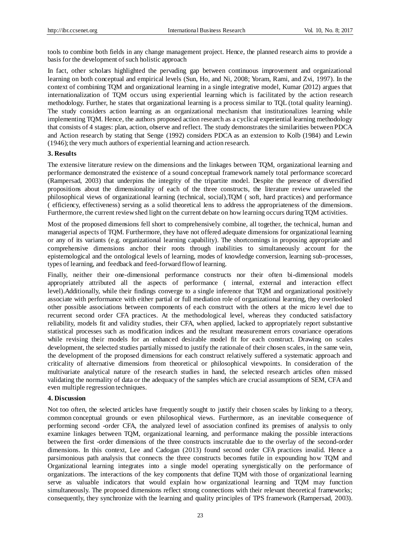tools to combine both fields in any change management project. Hence, the planned research aims to provide a basis for the development of such holistic approach

In fact, other scholars highlighted the pervading gap between continuous improvement and organizational learning on both conceptual and empirical levels (Sun, Ho, and Ni, 2008; Yoram, Rami, and Zvi, 1997). In the context of combining TQM and organizational learning in a single integrative model, Kumar (2012) argues that internationalization of TQM occurs using experiential learning which is facilitated by the action research methodology. Further, he states that organizational learning is a process similar to TQL (total quality learning). The study considers action learning as an organizational mechanism that institutionalizes learning while implementing TQM. Hence, the authors proposed action research as a cyclical experiential learning methodology that consists of 4 stages: plan, action, observe and reflect. The study demonstrates the similarities between PDCA and Action research by stating that Senge (1992) considers PDCA as an extension to Kolb (1984) and Lewin (1946); the very much authors of experiential learning and action research.

#### **3. Results**

The extensive literature review on the dimensions and the linkages between TQM, organizational learning and performance demonstrated the existence of a sound conceptual framework namely total performance scorecard (Rampersad, 2003) that underpins the integrity of the tripartite model. Despite the presence of diversified propositions about the dimensionality of each of the three constructs, the literature review unraveled the philosophical views of organizational learning (technical, social),TQM ( soft, hard practices) and performance ( efficiency, effectiveness) serving as a solid theoretical lens to address the appropriateness of the dimensions. Furthermore, the current review shed light on the current debate on how learning occurs during TQM activities.

Most of the proposed dimensions fell short to comprehensively combine, all together, the technical, human and managerial aspects of TQM. Furthermore, they have not offered adequate dimensions for organizational learning or any of its variants (e.g. organizational learning capability). The shortcomings in proposing appropriate and comprehensive dimensions anchor their roots through inabilities to simultaneously account for the epistemological and the ontological levels of learning, modes of knowledge conversion, learning sub-processes, types of learning, and feedback and feed-forward flow of learning.

Finally, neither their one-dimensional performance constructs nor their often bi-dimensional models appropriately attributed all the aspects of performance ( internal, external and interaction effect level).Additionally, while their findings converge to a single inference that TQM and organizational positively associate with performance with either partial or full mediation role of organizational learning, they overlooked other possible associations between components of each construct with the others at the micro level due to recurrent second order CFA practices. At the methodological level, whereas they conducted satisfactory reliability, models fit and validity studies, their CFA, when applied, lacked to appropriately report substantive statistical processes such as modification indices and the resultant measurement errors covariance operations while revising their models for an enhanced desirable model fit for each construct. Drawing on scales development, the selected studies partially missed to justify the rationale of their chosen scales, in the same vein, the development of the proposed dimensions for each construct relatively suffered a systematic approach and criticality of alternative dimensions from theoretical or philosophical viewpoints. In consideration of the multivariate analytical nature of the research studies in hand, the selected research articles often missed validating the normality of data or the adequacy of the samples which are crucial assumptions of SEM, CFA and even multiple regression techniques.

#### **4. Discussion**

Not too often, the selected articles have frequently sought to justify their chosen scales by linking to a theory, common conceptual grounds or even philosophical views. Furthermore, as an inevitable consequence of performing second -order CFA, the analyzed level of association confined its premises of analysis to only examine linkages between TQM, organizational learning, and performance making the possible interactions between the first -order dimensions of the three constructs inscrutable due to the overlay of the second-order dimensions. In this context, Lee and Cadogan (2013) found second order CFA practices invalid. Hence a parsimonious path analysis that connects the three constructs becomes futile in expounding how TQM and Organizational learning integrates into a single model operating synergistically on the performance of organizations. The interactions of the key components that define TQM with those of organizational learning serve as valuable indicators that would explain how organizational learning and TQM may function simultaneously. The proposed dimensions reflect strong connections with their relevant theoretical frameworks; consequently, they synchronize with the learning and quality principles of TPS framework (Rampersad, 2003).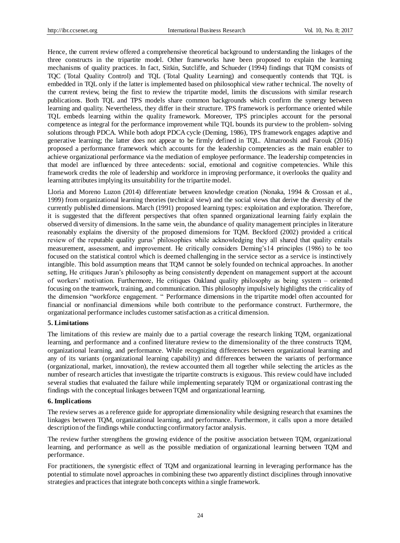Hence, the current review offered a comprehensive theoretical background to understanding the linkages of the three constructs in the tripartite model. Other frameworks have been proposed to explain the learning mechanisms of quality practices. In fact, Sitkin, Sutcliffe, and Schueder (1994) findings that TQM consists of TQC (Total Quality Control) and TQL (Total Quality Learning) and consequently contends that TQL is embedded in TQL only if the latter is implemented based on philosophical view rather technical. The novelty of the current review, being the first to review the tripartite model, limits the discussions with similar research publications. Both TQL and TPS models share common backgrounds which confirm the synergy between learning and quality. Nevertheless, they differ in their structure. TPS framework is performance oriented while TQL embeds learning within the quality framework. Moreover, TPS principles account for the personal competence as integral for the performance improvement while TQL bounds its purview to the problem- solving solutions through PDCA. While both adopt PDCA cycle (Deming, 1986), TPS framework engages adaptive and generative learning; the latter does not appear to be firmly defined in TQL. Almatrooshi and Farouk (2016) proposed a performance framework which accounts for the leadership competencies as the main enabler to achieve organizational performance via the mediation of employee performance. The leadership competencies in that model are influenced by three antecedents: social, emotional and cognitive competencies. While this framework credits the role of leadership and workforce in improving performance, it overlooks the quality and learning attributes implying its unsuitability for the tripartite model.

Lloria and Moreno Luzon (2014) differentiate between knowledge creation (Nonaka, 1994 & Crossan et al., 1999) from organizational learning theories (technical view) and the social views that derive the diversity of the currently published dimensions. March (1991) proposed learning types: exploitation and exploration. Therefore, it is suggested that the different perspectives that often spanned organizational learning fairly explain the observed diversity of dimensions. In the same vein, the abundance of quality management principles in literature reasonably explains the diversity of the proposed dimensions for TQM. Beckford (2002) provided a critical review of the reputable quality gurus' philosophies while acknowledging they all shared that quality entails measurement, assessment, and improvement. He critically considers Deming's14 principles (1986) to be too focused on the statistical control which is deemed challenging in the service sector as a service is instinctively intangible. This bold assumption means that TQM cannot be solely founded on technical approaches. In another setting, He critiques Juran's philosophy as being consistently dependent on management support at the account of workers' motivation. Furthermore, He critiques Oakland quality philosophy as being system – oriented focusing on the teamwork, training, and communication. This philosophy impulsively highlights the criticality of the dimension "workforce engagement. " Performance dimensions in the tripartite model often accounted for financial or nonfinancial dimensions while both contribute to the performance construct. Furthermore, the organizational performance includes customer satisfaction as a critical dimension.

#### **5. Limitations**

The limitations of this review are mainly due to a partial coverage the research linking TQM, organizational learning, and performance and a confined literature review to the dimensionality of the three constructs TQM, organizational learning, and performance. While recognizing differences between organizational learning and any of its variants (organizational learning capability) and differences between the variants of performance (organizational, market, innovation), the review accounted them all together while selecting the articles as the number of research articles that investigate the tripartite constructs is exiguous. This review could have included several studies that evaluated the failure while implementing separately TQM or organizational contrasting the findings with the conceptual linkages between TQM and organizational learning.

#### **6. Implications**

The review serves as a reference guide for appropriate dimensionality while designing research that examines the linkages between TQM, organizational learning, and performance. Furthermore, it calls upon a more detailed description of the findings while conducting confirmatory factor analysis.

The review further strengthens the growing evidence of the positive association between TQM, organizational learning, and performance as well as the possible mediation of organizational learning between TQM and performance.

For practitioners, the synergistic effect of TQM and organizational learning in leveraging performance has the potential to stimulate novel approaches in combining these two apparently distinct disciplines through innovative strategies and practices that integrate both concepts within a single framework.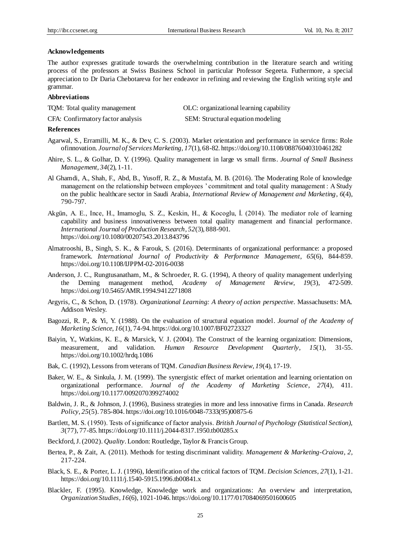#### **Acknowledgements**

The author expresses gratitude towards the overwhelming contribution in the literature search and writing process of the professors at Swiss Business School in particular Professor Segeeta. Futhermore, a special appreciation to Dr Daria Chebotareva for her endeavor in refining and reviewing the English writing style and grammar.

## **Abbreviations**

| TQM: Total quality management     | OLC: organizational learning capability |
|-----------------------------------|-----------------------------------------|
| CFA: Confirmatory factor analysis | SEM: Structural equation modeling       |

#### **References**

- Agarwal, S., Erramilli, M. K., & Dev, C. S. (2003). Market orientation and performance in service firms: Role ofinnovation. *Journal of Services Marketing, 17*(1), 68-82. https://doi.org/10.1108/08876040310461282
- Ahire, S. L., & Golhar, D. Y. (1996). Quality management in large vs small firms. *Journal of Small Business Management*, *34*(2), 1-11.
- Al Ghamdi, A., Shah, F., Abd, B., Yusoff, R. Z., & Mustafa, M. B. (2016). The Moderating Role of knowledge management on the relationship between employees ' commitment and total quality management : A Study on the public healthcare sector in Saudi Arabia, *International Review of Management and Marketing*, *6*(4), 790-797.
- Akgün, A. E., Ince, H., Imamoglu, S. Z., Keskin, H., & Kocoglu, İ. (2014). The mediator role of learning capability and business innovativeness between total quality management and financial performance. *International Journal of Production Research*, *52*(3), 888-901. https://doi.org/10.1080/00207543.2013.843796
- Almatrooshi, B., Singh, S. K., & Farouk, S. (2016). Determinants of organizational performance: a proposed framework. *International Journal of Productivity & Performance Management*, *65*(6), 844-859. https://doi.org/10.1108/IJPPM-02-2016-0038
- Anderson, J. C., Rungtusanatham, M., & Schroeder, R. G. (1994), A theory of quality management underlying the Deming management method, *Academy of Management Review*, *19*(3), 472-509. https://doi.org/10.5465/AMR.1994.9412271808
- Argyris, C., & Schon, D. (1978). *Organizational Learning: A theory of action perspective.* Massachusetts: MA. Addison Wesley.
- Bagozzi, R. P., & Yi, Y. (1988). On the evaluation of structural equation model. *Journal of the Academy of Marketing Science*, *16*(1), 74-94. https://doi.org/10.1007/BF02723327
- Baiyin, Y., Watkins, K. E., & Marsick, V. J. (2004). The Construct of the learning organization: Dimensions, measurement, and validation. *Human Resource Development Quarterly*, *15*(1), 31-55. https://doi.org/10.1002/hrdq.1086
- Bak, C. (1992), Lessons from veterans of TQM. *Canadian Business Review*, *19*(4), 17-19.
- Baker, W. E., & Sinkula, J. M. (1999). The synergistic effect of market orientation and learning orientation on organizational performance. *Journal of the Academy of Marketing Science*, *27*(4), 411. https://doi.org/10.1177/0092070399274002
- Baldwin, J. R., & Johnson, J. (1996), Business strategies in more and less innovative firms in Canada. *Research Policy*, *25*(5). 785-804. https://doi.org/10.1016/0048-7333(95)00875-6
- Bartlett, M. S. (1950). Tests of significance of factor analysis. *British Journal of Psychology (Statistical Section), 3*(77), 77-85. https://doi.org/10.1111/j.2044-8317.1950.tb00285.x
- Beckford, J. (2002). *Quality*. London: Routledge, Taylor & Francis Group.
- Bertea, P., & Zait, A. (2011). Methods for testing discriminant validity. *Management & Marketing-Craiova*, *2,*  217-224.
- Black, S. E., & Porter, L. J. (1996), Identification of the critical factors of TQM. *Decision Sciences, 27*(1), 1-21. https://doi.org/10.1111/j.1540-5915.1996.tb00841.x
- Blackler, F. (1995). Knowledge, Knowledge work and organizations: An overview and interpretation, *Organization Studies*, *16*(6), 1021-1046. https://doi.org/10.1177/017084069501600605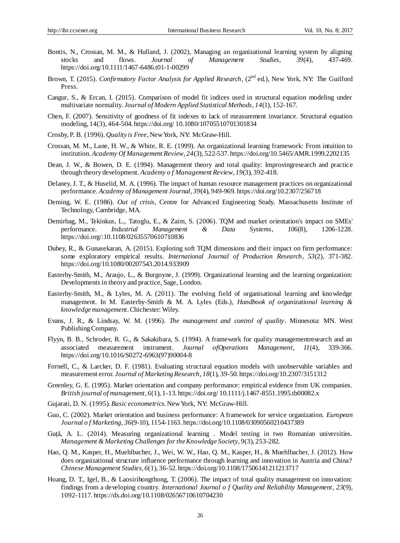- Bontis, N., Crossan, M. M., & Hulland, J. (2002), Managing an organizational learning system by aligning stocks and flows. *Journal of Management Studies*, *39*(4), 437-469. https://doi.org/10.1111/1467-6486.t01-1-00299
- Brown, T. (2015). *Confirmatory Factor Analysis for Applied Research*, (2<sup>nd</sup> ed.), New York, NY: The Guilford Press.
- Cangur, S., & Ercan, I. (2015). Comparison of model fit indices used in structural equation modeling under multivariate normality. *Journal of Modern Applied Statistical Methods, 14*(1), 152-167.
- Chen, F. (2007). Sensitivity of goodness of fit indexes to lack of measurement invariance. Structural equation modeling, 14(3), 464-504. https://doi.org/ 10.1080/10705510701301834
- Crosby, P. B. (1996). *Quality is Free*, New York, NY: McGraw-Hill.
- Crossan, M. M., Lane, H. W., & White, R. E. (1999). An organizational learning framework: From intuition to institution. *Academy Of Management Review, 24*(3), 522-537. https://doi.org/10.5465/AMR.1999.2202135
- Dean, J. W., & Bowen, D. E. (1994). Management theory and total quality: Improvingresearch and practice through theory development. *Academy o f Management Review, 19*(3), 392-418.
- Delaney, J. T., & Huselid, M. A. (1996). The impact of human resource management practices on organizational performance. *Academy of Management Journal*, *39*(4), 949-969. https://doi.org/10.2307/256718
- Deming, W. E. (1986). *Out of crisis*, Centre for Advanced Engineering Study. Massachusetts Institute of Technology, Cambridge, MA.
- Demirbag, M., Tekinkus, L., Tatoglu, E., & Zaim, S. (2006). TQM and market orientation's impact on SMEs' performance*. Industrial Management & Data Systems*, *106*(8), 1206-1228. https://doi.org/:10.1108/02635570610710836
- Dubey, R., & Gunasekaran, A. (2015). Exploring soft TQM dimensions and their impact on firm performance: some exploratory empirical results. *International Journal of Production Research*, *53*(2), 371-382. https://doi.org/10.1080/00207543.2014.933909
- Easterby-Smith, M., Araujo, L., & Burgoyne, J. (1999). Organizational learning and the learning organization: Developments in theory and practice, Sage, London.
- Easterby-Smith, M., & Lyles, M. A. (2011). The evolving field of organisational learning and knowledge management. In M. Easterby-Smith & M. A. Lyles (Eds.), *Handbook of organizational learning & knowledge management*. Chichester: Wiley.
- Evans, J. R., & Lindsay, W. M. (1996). *The management and control of quality*. Minnesota: MN. West Publishing Company.
- Flyyn, B. B., Schroder, R. G., & Sakakibara, S. (1994). A framework for quality managementresearch and an associated measurement instrument. *Journal ofOperations Management*, *11*(4), 339-366. https://doi.org/10.1016/S0272-6963(97)90004-8
- Fornell, C., & Larcker, D. F. (1981). Evaluating structural equation models with unobservable variables and measurement error. *Journal of Marketing Research, 18*(1), 39-50. https://doi.org/10.2307/3151312
- Greenley, G. E. (1995). Market orientation and company performance: empirical evidence from UK companies. *British journal of management, 6*(1), 1-13. https://doi.org/ 10.1111/j.1467-8551.1995.tb00082.x
- Gujarati, D. N. (1995). *Basic econometrics*. New York, NY: McGraw-Hill.
- Guo, C. (2002). Market orientation and business performance: A framework for service organization. *European Journal o f Marketing, 36*(9-10), 1154-1163. https://doi.org/10.1108/03090560210437389
- Guță, A. L. (2014). Measuring organizational learning. Model testing in two Romanian universities. *Management & Marketing Challenges for the Knowledge Society*, 9(3), 253-282.
- Hao, Q. M., Kasper, H., Muehlbacher, J., Wei, W. W., Hao, Q. M., Kasper, H., & Muehlbacher, J. (2012). How does organizational structure influence performance through learning and innovation in Austria and China? *Chinese Management Studies*, *6*(1), 36-52. https://doi.org/10.1108/17506141211213717
- Hoang, D. T., Igel, B., & Laosirihongthong, T. (2006). The impact of total quality management on innovation: findings from a developing country. *International Journal o f Quality and Reliability Management*, *23*(9), 1092-1117. https://dx.doi.org/10.1108/02656710610704230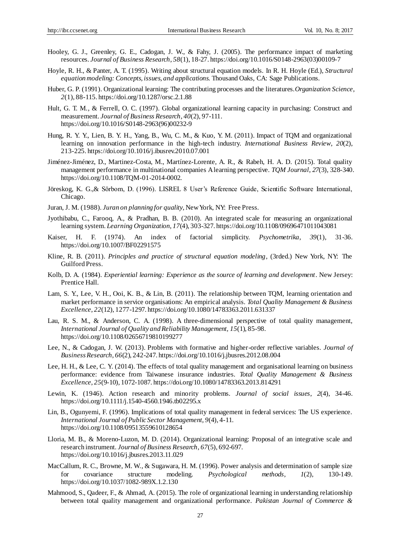- Hooley, G. J., Greenley, G. E., Cadogan, J. W., & Fahy, J. (2005). The performance impact of marketing resources. *Journal of Business Research*, *58*(1), 18-27. https://doi.org/10.1016/S0148-2963(03)00109-7
- Hoyle, R. H., & Panter, A. T. (1995). Writing about structural equation models. In R. H. Hoyle (Ed.), *Structural equation modeling: Concepts, issues, and applications.* Thousand Oaks, CA: Sage Publications.
- Huber, G. P. (1991). Organizational learning: The contributing processes and the literatures.*Organization Science*, *2*(1), 88-115. https://doi.org/10.1287/orsc.2.1.88
- Hult, G. T. M., & Ferrell, O. C. (1997). Global organizational learning capacity in purchasing: Construct and measurement. *Journal of Business Research*, *40*(2), 97-111. https://doi.org/10.1016/S0148-2963(96)00232-9
- Hung, R. Y. Y., Lien, B. Y. H., Yang, B., Wu, C. M., & Kuo, Y. M. (2011). Impact of TQM and organizational learning on innovation performance in the high-tech industry. *International Business Review*, *20*(2), 213-225. https://doi.org/10.1016/j.ibusrev.2010.07.001
- Jiménez-Jiménez, D., Martinez-Costa, M., Martínez-Lorente, A. R., & Rabeh, H. A. D. (2015). Total quality management performance in multinational companies A learning perspective. *TQM Journal*, *27*(3), 328-340. https://doi.org/10.1108/TQM-01-2014-0002.
- Jöreskog, K. G.,& Sörbom, D. (1996). LISREL 8 User's Reference Guide, Scientific Software International, Chicago.
- Juran, J. M. (1988). *Juran on planning for quality*, New York, NY: Free Press.
- Jyothibabu, C., Farooq, A., & Pradhan, B. B. (2010). An integrated scale for measuring an organizational learning system. *Learning Organization*, *17*(4), 303-327. https://doi.org/10.1108/09696471011043081
- Kaiser, H. F. (1974). An index of factorial simplicity. *Psychometrika*, *39*(1), 31-36. https://doi.org/10.1007/BF02291575
- Kline, R. B. (2011). *Principles and practice of structural equation modeling*, (3rded.) New York, NY: The Guilford Press.
- Kolb, D. A. (1984). *Experiential learning: Experience as the source of learning and development*. New Jersey: Prentice Hall.
- Lam, S. Y., Lee, V. H., Ooi, K. B., & Lin, B. (2011). The relationship between TQM, learning orientation and market performance in service organisations: An empirical analysis. *Total Quality Management & Business Excellence*, *22*(12), 1277-1297. https://doi.org/10.1080/14783363.2011.631337
- Lau, R. S. M., & Anderson, C. A. (1998). A three-dimensional perspective of total quality management, *International Journal of Quality and Reliability Management, 15*(1), 85-98. https://doi.org/10.1108/02656719810199277
- Lee, N., & Cadogan, J. W. (2013). Problems with formative and higher-order reflective variables. *Journal of Business Research*, *66*(2), 242-247. https://doi.org/10.1016/j.jbusres.2012.08.004
- Lee, H. H., & Lee, C. Y. (2014). The effects of total quality management and organisational learning on business performance: evidence from Taiwanese insurance industries. *Total Quality Management & Business Excellence*, *25*(9-10), 1072-1087. https://doi.org/10.1080/14783363.2013.814291
- Lewin, K. (1946). Action research and minority problems. *Journal of social issues*, *2*(4), 34-46. https://doi.org/10.1111/j.1540-4560.1946.tb02295.x
- Lin, B., Ogunyemi, F. (1996). Implications of total quality management in federal services: The US experience. *International Journal of Public Sector Management*, *9*(4), 4-11. https://doi.org/10.1108/09513559610128654
- Lloria, M. B., & Moreno-Luzon, M. D. (2014). Organizational learning: Proposal of an integrative scale and research instrument. *Journal of Business Research*, *67*(5), 692-697. https://doi.org/10.1016/j.jbusres.2013.11.029
- MacCallum, R. C., Browne, M. W., & Sugawara, H. M. (1996). Power analysis and determination of sample size for covariance structure modeling. *Psychological methods*, *1*(2), 130-149. https://doi.org/10.1037/1082-989X.1.2.130
- Mahmood, S., Qadeer, F., & Ahmad, A. (2015). The role of organizational learning in understanding relationship between total quality management and organizational performance. *Pakistan Journal of Commerce &*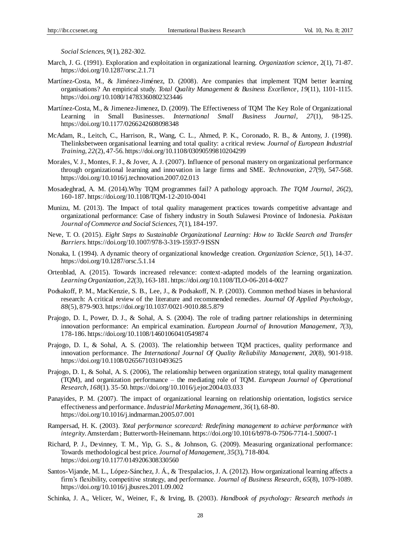*Social Sciences*, *9*(1), 282-302.

- March, J. G. (1991). Exploration and exploitation in organizational learning. *Organization science*, 2(1), 71-87. https://doi.org/10.1287/orsc.2.1.71
- Mart nez-Costa, M., & Jiménez-Jiménez, D. (2008). Are companies that implement TQM better learning organisations? An empirical study. *Total Quality Management & Business Excellence*, *19*(11), 1101-1115. https://doi.org/10.1080/14783360802323446
- Mart nez-Costa, M., & Jimenez-Jimenez, D. (2009). The Effectiveness of TOM The Key Role of Organizational Learning in Small Businesses. *International Small Business Journal*, *27*(1), 98-125. https://doi.org/10.1177/0266242608098348
- McAdam, R., Leitch, C., Harrison, R., Wang, C. L., Ahmed, P. K., Coronado, R. B., & Antony, J. (1998). Thelinksbetween organisational learning and total quality: a critical review. *Journal of European Industrial Training*, *22*(2), 47-56. https://doi.org/10.1108/03090599810204299
- Morales, V. J., Montes, F. J., & Jover, A. J. (2007). Influence of personal mastery on organizational performance through organizational learning and innovation in large firms and SME. *Technovation*, *27*(9), 547-568. https://doi.org/10.1016/j.technovation.2007.02.013
- Mosadeghrad, A. M. (2014).Why TQM programmes fail? A pathology approach. *The TQM Journal, 26*(2), 160-187. https://doi.org/10.1108/TQM-12-2010-0041
- Munizu, M. (2013). The Impact of total quality management practices towards competitive advantage and organizational performance: Case of fishery industry in South Sulawesi Province of Indonesia. *Pakistan Journal of Commerce and Social Sciences, 7*(1), 184-197.
- Neve, T. O. (2015). *Eight Steps to Sustainable Organizational Learning: How to Tackle Search and Transfer Barriers*. https://doi.org/10.1007/978-3-319-15937-9 ISSN
- Nonaka, I. (1994). A dynamic theory of organizational knowledge creation*. Organization Science, 5*(1), 14-37. https://doi.org/10.1287/orsc.5.1.14
- Ortenblad, A. (2015). Towards increased relevance: context-adapted models of the learning organization. *Learning Organization*, *22*(3), 163-181. https://doi.org/10.1108/TLO-06-2014-0027
- Podsakoff, P. M., MacKenzie, S. B., Lee, J., & Podsakoff, N. P. (2003). Common method biases in behavioral research: A critical review of the literature and recommended remedies. *Journal Of Applied Psychology*, *88*(5), 879-903. https://doi.org/10.1037/0021-9010.88.5.879
- Prajogo, D. I., Power, D. J., & Sohal, A. S. (2004). The role of trading partner relationships in determining innovation performance: An empirical examination. *European Journal of Innovation Management*, *7*(3), 178-186. https://doi.org/10.1108/14601060410549874
- Prajogo, D. I., & Sohal, A. S. (2003). The relationship between TQM practices, quality performance and innovation performance. *The International Journal Of Quality Reliability Management, 20*(8), 901-918. https://doi.org/10.1108/02656710310493625
- Prajogo, D. I., & Sohal, A. S. (2006), The relationship between organization strategy, total quality management (TQM), and organization performance – the mediating role of TQM. *European Journal of Operational Research*, *168*(1). 35-50. https://doi.org/10.1016/j.ejor.2004.03.033
- Panayides, P. M. (2007). The impact of organizational learning on relationship orientation, logistics service effectiveness and performance.*Industrial Marketing Management*, *36*(1), 68-80. <https://doi.org/10.1016/j.indmarman.2005.07.001>
- Rampersad, H. K. (2003). *Total performance scorecard: Redefining management to achieve performance with integrity*. Amsterdam ; Butterworth-Heinemann. https://doi.org/10.1016/b978-0-7506-7714-1.50007-1
- Richard, P. J., Devinney, T. M., Yip, G. S., & Johnson, G. (2009). Measuring organizational performance: Towards methodological best price. *Journal of Management, 35*(3), 718-804. https://doi.org/10.1177/0149206308330560
- Santos-Vijande, M. L., López-Sánchez, J. Á., & Trespalacios, J. A. (2012). How organizational learning affects a firm's flexibility, competitive strategy, and performance. *Journal of Business Research*, *65*(8), 1079-1089. https://doi.org/10.1016/j.jbusres.2011.09.002
- Schinka, J. A., Velicer, W., Weiner, F., & Irving, B. (2003). *Handbook of psychology: Research methods in*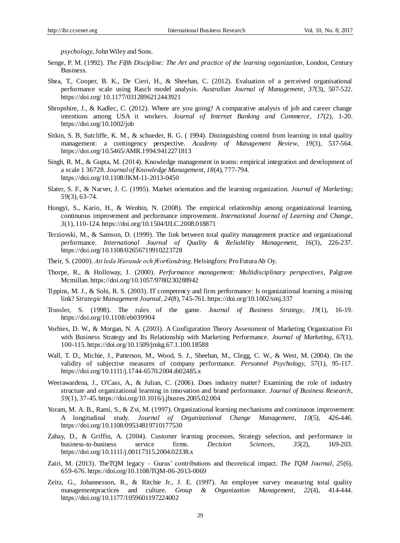*psychology*, John Wiley and Sons.

- Senge, P. M. (1992). *The Fifth Discipline: The Art and practice of the learning organization*, London, Century Business.
- Shea, T., Cooper, B. K., De Cieri, H., & Sheehan, C. (2012). Evaluation of a perceived organisational performance scale using Rasch model analysis. *Australian Journal of Management*, *37*(3), 507-522. https://doi.org/ 10.1177/0312896212443921
- Shropshire, J., & Kadlec, C. (2012). Where are you going? A comparative analysis of job and career change intentions among USA it workers. *Journal of Internet Banking and Commerce*, *17*(2), 1-20. https://doi.org/10.1002/job
- Sitkin, S. B, Sutcliffe, K. M., & schueder, R. G. ( 1994). Distinguishing control from learning in total quality management: a contingency perspective. *Academy of Management Review*, *19*(3), 537-564. https://doi.org/10.5465/AMR.1994.9412271813
- Singh, R. M., & Gupta, M. (2014). Knowledge management in teams: empirical integration and development of a scale 1 36728. *Journal of Knowledge Management*, *18*(4), 777-794. https://doi.org/10.1108/JKM-11-2013-0450
- Slater, S. F., & Narver, J. C. (1995). Market orientation and the learning organization. *Journal of Marketing*; *59*(3), 63-74.
- Hongyi, S., Kario, H., & Wenbin, N. (2008). The empirical relationship among organizational learning, continuous improvement and performance improvement. *International Journal of Learning and Change*, *3*(1), 110-124. https://doi.org/10.1504/IJLC.2008.018871
- Terziovski, M., & Samson, D. (1999). The link between total quality management practice and organizational performance. *International Journal of Quality & Reliability Management, 16*(3), 226-237. https://doi.org/10.1108/02656719910223728
- Their, S. (2000). *Att leda l€arande och f€or€andring*. Helsingfors: Pro Futura Ab Oy.
- Thorpe, R., & Holloway, J. (2000). *Performance management: Multidisciplinary perspectives*, Palgrave Mcmillan. <https://doi.org/10.1057/9780230288942>
- Tippins, M. J., & Sohi, R. S. (2003). IT competency and firm performance: Is organizational learning a missing link? *Strategic Management Journal*, *24*(8), 745-761. https://doi.org/10.1002/smj.337
- Trussler, S. (1998). The rules of the game. *Journal of Business Strategy*, *19*(1), 16-19. https://doi.org/10.1108/eb039904
- Vorhies, D. W., & Morgan, N. A. (2003). A Configuration Theory Assessment of Marketing Organization Fit with Business Strategy and Its Relationship with Marketing Performance. *Journal of Marketing*, *67*(1), 100-115. https://doi.org/10.1509/jmkg.67.1.100.18588
- Wall, T. D., Michie, J., Patterson, M., Wood, S. J., Sheehan, M., Clegg, C. W., & West, M. (2004). On the validity of subjective measures of company performance. *Personnel Psychology, 57*(1), 95-117. https://doi.org/10.1111/j.1744-6570.2004.tb02485.x
- Weerawardena, J., O'Cass, A., & Julian, C. (2006). Does industry matter? Examining the role of industry structure and organizational learning in innovation and brand performance. *Journal of Business Research*, *59*(1), 37-45. https://doi.org/10.1016/j.jbusres.2005.02.004
- Yoram, M. A. B., Rami, S., & Zvi, M. (1997). Organizational learning mechanisms and continuous improvement: A longitudinal study. *Journal of Organizational Change Management*, *10*(5), 426-446. https://doi.org/10.1108/09534819710177530
- Zahay, D., & Griffin, A. (2004). Customer learning processes, Strategy selection, and performance in business-to-business service firms. *Decision Sciences*, *35*(2), 169-203. https://doi.org/10.1111/j.00117315.2004.02338.x
- Zairi, M. (2013). TheTQM legacy Gurus' contributions and theoretical impact. *The TQM Journal*, *25*(6), 659-676. https://doi.org/10.1108/TQM-06-2013-0069
- Zeitz, G., Johannesson, R., & Ritchie Jr., J. E. (1997). An employee survey measuring total quality managementpractices and culture. *Group & Organization Management*, *22*(4), 414-444. https://doi.org/10.1177/1059601197224002